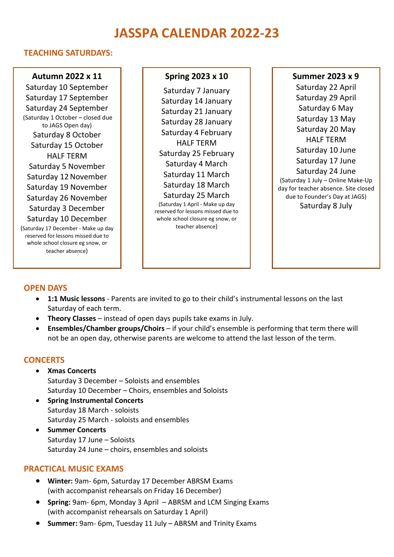# **JASSPA CALENDAR 2022-23**

## **TEACHING SATURDAYS:**

# **Autumn 2022 x 11**

Saturday 10 September Saturday 17 September Saturday 24 September (Saturday 1 October – closed due to JAGS Open day) Saturday 8 October Saturday 15 October HALF TERM Saturday 5 November Saturday 12 November Saturday 19 November Saturday 26 November Saturday 3 December Saturday 10 December (Saturday 17 December - Make up day reserved for lessons missed due to whole school closure eg snow, or teacher absence)

#### **Spring 2023 x 10**

Saturday 7 January Saturday 14 January Saturday 21 January Saturday 28 January Saturday 4 February HALF TERM Saturday 25 February Saturday 4 March Saturday 11 March Saturday 18 March

Saturday 25 March (Saturday 1 April - Make up day reserved for lessons missed due to whole school closure eg snow, or teacher absence)

#### **Summer 2023 x 9**

Saturday 22 April Saturday 29 April Saturday 6 May Saturday 13 May Saturday 20 May HALF TERM Saturday 10 June Saturday 17 June Saturday 24 June (Saturday 1 July – Online Make-Up day for teacher absence. Site closed due to Founder's Day at JAGS) Saturday 8 July

## **OPEN DAYS**

- **1:1 Music lessons** Parents are invited to go to their child's instrumental lessons on the last Saturday of each term.
- **Theory Classes** instead of open days pupils take exams in July.
- **Ensembles/Chamber groups/Choirs** if your child's ensemble is performing that term there will not be an open day, otherwise parents are welcome to attend the last lesson of the term.

### **CONCERTS**

- **Xmas Concerts** Saturday 3 December – Soloists and ensembles Saturday 10 December – Choirs, ensembles and Soloists
- **Spring Instrumental Concerts** Saturday 18 March - soloists Saturday 25 March - soloists and ensembles
- **Summer Concerts** Saturday 17 June – Soloists Saturday 24 June – choirs, ensembles and soloists

# **PRACTICAL MUSIC EXAMS**

- **Winter:** 9am- 6pm, Saturday 17 December ABRSM Exams (with accompanist rehearsals on Friday 16 December)
- **Spring:** 9am- 6pm, Monday 3 April ABRSM and LCM Singing Exams (with accompanist rehearsals on Saturday 1 April)
- **Summer:** 9am- 6pm, Tuesday 11 July ABRSM and Trinity Exams